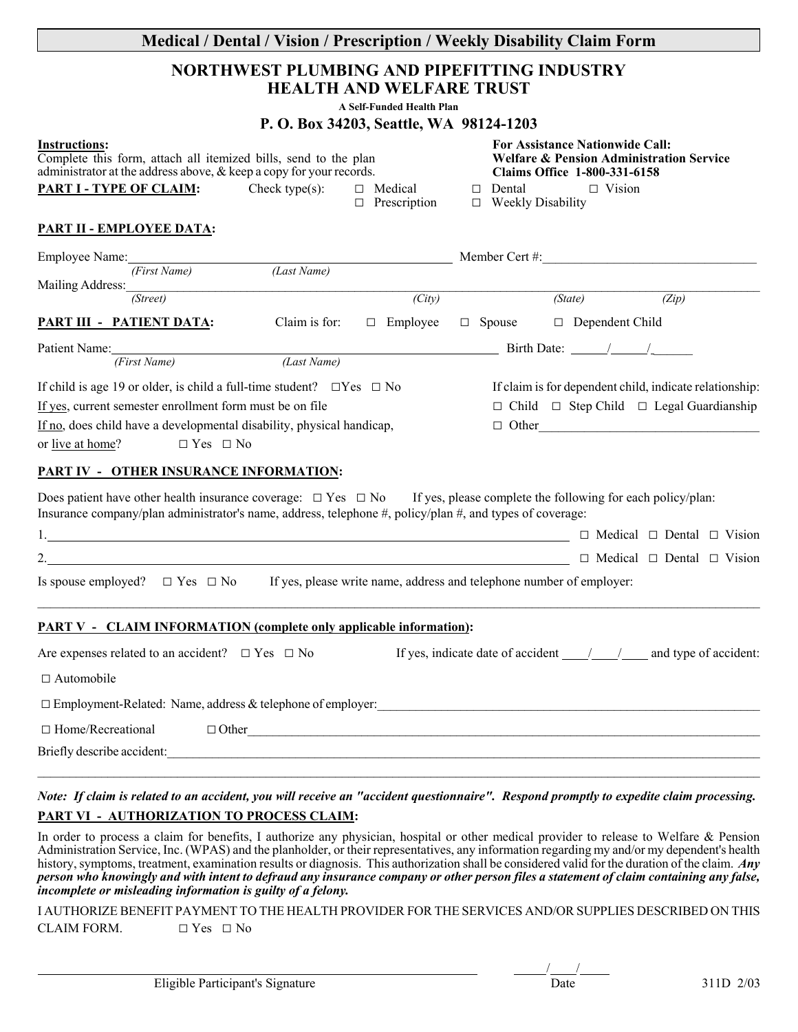| Medical / Dental / Vision / Prescription / Weekly Disability Claim Form<br>NORTHWEST PLUMBING AND PIPEFITTING INDUSTRY<br><b>HEALTH AND WELFARE TRUST</b><br>A Self-Funded Health Plan<br>P. O. Box 34203, Seattle, WA 98124-1203                                                                      |                                                                                                                                     |  |
|--------------------------------------------------------------------------------------------------------------------------------------------------------------------------------------------------------------------------------------------------------------------------------------------------------|-------------------------------------------------------------------------------------------------------------------------------------|--|
|                                                                                                                                                                                                                                                                                                        |                                                                                                                                     |  |
| <b>PART II - EMPLOYEE DATA:</b><br>Employee Name: (First Name) (Last Name) Member Cert #:                                                                                                                                                                                                              |                                                                                                                                     |  |
| Mailing Address: (Street)<br>$\overline{(City)}$                                                                                                                                                                                                                                                       | (State)<br>(Zip)                                                                                                                    |  |
| <b>PART III - PATIENT DATA:</b><br>Claim is for:                                                                                                                                                                                                                                                       | $\Box$ Employee $\Box$ Spouse $\Box$ Dependent Child                                                                                |  |
| Patient Name: First Name                                                                                                                                                                                                                                                                               |                                                                                                                                     |  |
| If child is age 19 or older, is child a full-time student? $\square$ Yes $\square$ No<br>If yes, current semester enrollment form must be on file<br>If no, does child have a developmental disability, physical handicap,<br>or live at home?<br>$\Box$ Yes $\Box$ No                                 | If claim is for dependent child, indicate relationship:<br>$\Box$ Child $\Box$ Step Child $\Box$ Legal Guardianship<br>$\Box$ Other |  |
| <b>PART IV - OTHER INSURANCE INFORMATION:</b><br>Does patient have other health insurance coverage: $\Box$ Yes $\Box$ No If yes, please complete the following for each policy/plan:<br>Insurance company/plan administrator's name, address, telephone #, policy/plan #, and types of coverage:<br>2. | $\Box$ Medical $\Box$ Dental $\Box$ Vision<br>$\Box$ Medical $\Box$ Dental $\Box$ Vision                                            |  |
| Is spouse employed? $\Box$ Yes $\Box$ No If yes, please write name, address and telephone number of employer:                                                                                                                                                                                          |                                                                                                                                     |  |
| <b>PART V - CLAIM INFORMATION (complete only applicable information):</b>                                                                                                                                                                                                                              |                                                                                                                                     |  |
| Are expenses related to an accident? $\Box$ Yes $\Box$ No                                                                                                                                                                                                                                              | If yes, indicate date of accident $\frac{1}{2}$ and type of accident:                                                               |  |
| $\Box$ Automobile                                                                                                                                                                                                                                                                                      |                                                                                                                                     |  |
| □ Employment-Related: Name, address & telephone of employer:<br><sub>2</sub> The material content of employer: 2 The material content of employer: 2 The material content of employer<br>2 The material content of employer: 2 The materia                                                             |                                                                                                                                     |  |
| $\Box$ Home/Recreational                                                                                                                                                                                                                                                                               | $\Box$ Other                                                                                                                        |  |
| Briefly describe accident:                                                                                                                                                                                                                                                                             |                                                                                                                                     |  |

## *Note: If claim is related to an accident, you will receive an "accident questionnaire". Respond promptly to expedite claim processing.* **PART VI - AUTHORIZATION TO PROCESS CLAIM:**

In order to process a claim for benefits, I authorize any physician, hospital or other medical provider to release to Welfare & Pension Administration Service, Inc. (WPAS) and the planholder, or their representatives, any information regarding my and/or my dependent's health history, symptoms, treatment, examination results or diagnosis. This authorization shall be considered valid for the duration of the claim. *Any person who knowingly and with intent to defraud any insurance company or other person files a statement of claim containing any false, incomplete or misleading information is guilty of a felony.*

I AUTHORIZE BENEFIT PAYMENT TO THE HEALTH PROVIDER FOR THE SERVICES AND/OR SUPPLIES DESCRIBED ON THIS CLAIM FORM.  $\Box$  Yes  $\Box$  No